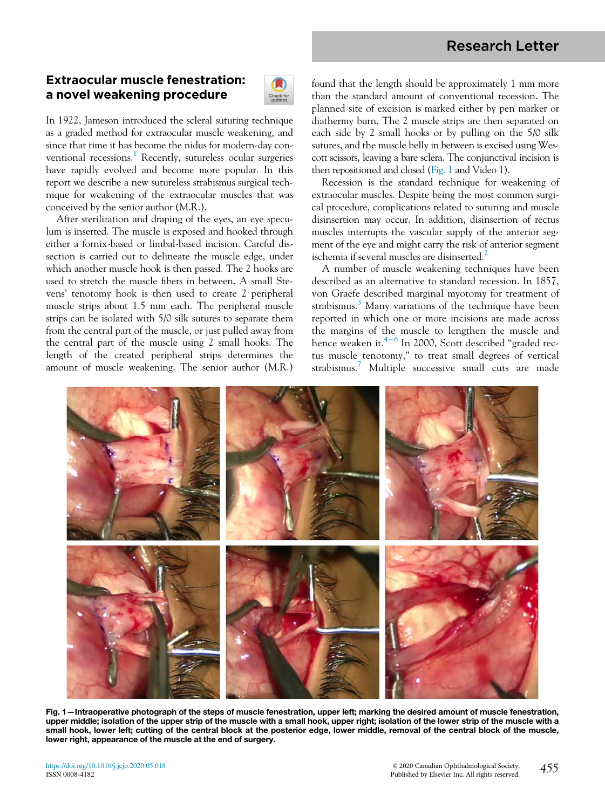# Research Letter

# Extraocular muscle fenestration: a novel weakening procedure



In 1922, Jameson introduced the scleral suturing technique as a graded method for extraocular muscle weakening, and since that time it has become the nidus for modern-day con-ventional recessions.<sup>[1](#page-2-0)</sup> Recently, sutureless ocular surgeries have rapidly evolved and become more popular. In this report we describe a new sutureless strabismus surgical technique for weakening of the extraocular muscles that was conceived by the senior author (M.R.).

After sterilization and draping of the eyes, an eye speculum is inserted. The muscle is exposed and hooked through either a fornix-based or limbal-based incision. Careful dissection is carried out to delineate the muscle edge, under which another muscle hook is then passed. The 2 hooks are used to stretch the muscle fibers in between. A small Stevens' tenotomy hook is then used to create 2 peripheral muscle strips about 1.5 mm each. The peripheral muscle strips can be isolated with 5/0 silk sutures to separate them from the central part of the muscle, or just pulled away from the central part of the muscle using 2 small hooks. The length of the created peripheral strips determines the amount of muscle weakening. The senior author (M.R.) found that the length should be approximately 1 mm more than the standard amount of conventional recession. The planned site of excision is marked either by pen marker or diathermy burn. The 2 muscle strips are then separated on each side by 2 small hooks or by pulling on the 5/0 silk sutures, and the muscle belly in between is excised using Wescott scissors, leaving a bare sclera. The conjunctival incision is then repositioned and closed [\(Fig. 1](#page-0-0) and Video 1).

Recession is the standard technique for weakening of extraocular muscles. Despite being the most common surgical procedure, complications related to suturing and muscle disinsertion may occur. In addition, disinsertion of rectus muscles interrupts the vascular supply of the anterior segment of the eye and might carry the risk of anterior segment ischemia if several muscles are disinserted.<sup>[2](#page-2-1)</sup>

A number of muscle weakening techniques have been described as an alternative to standard recession. In 1857, von Graefe described marginal myotomy for treatment of strabismus.<sup>[3](#page-2-2)</sup> Many variations of the technique have been reported in which one or more incisions are made across the margins of the muscle to lengthen the muscle and hence weaken it. $4-6$  $4-6$  $4-6$  In 2000, Scott described "graded rectus muscle tenotomy," to treat small degrees of vertical strabismus.[7](#page-2-4) Multiple successive small cuts are made

<span id="page-0-0"></span>

Fig. 1—Intraoperative photograph of the steps of muscle fenestration, upper left; marking the desired amount of muscle fenestration, upper middle; isolation of the upper strip of the muscle with a small hook, upper right; isolation of the lower strip of the muscle with a small hook, lower left; cutting of the central block at the posterior edge, lower middle, removal of the central block of the muscle, lower right, appearance of the muscle at the end of surgery.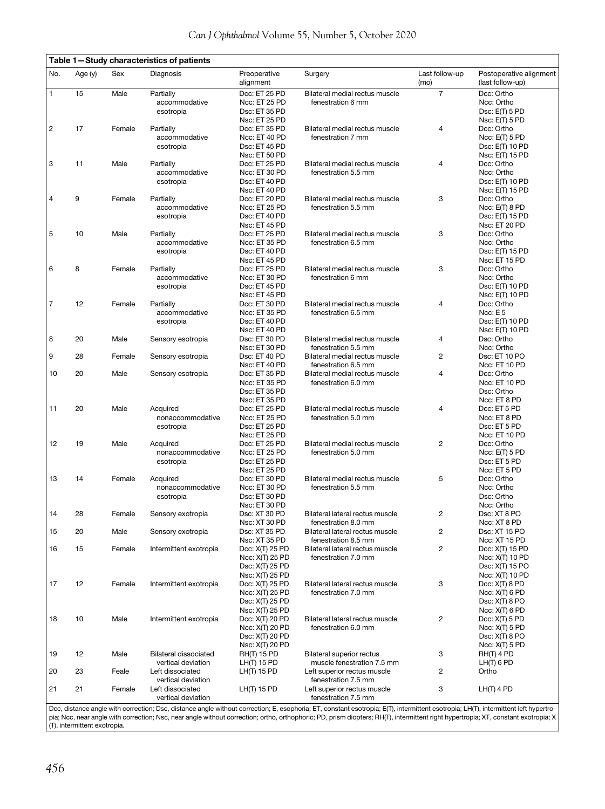<span id="page-1-0"></span>

| ravic r                                                                                                                                                                             |         |        | $-$ oluuy onaraolonsuos or pallents |                           |                                  |                        |                                             |
|-------------------------------------------------------------------------------------------------------------------------------------------------------------------------------------|---------|--------|-------------------------------------|---------------------------|----------------------------------|------------------------|---------------------------------------------|
| No.                                                                                                                                                                                 | Age (y) | Sex    | Diagnosis                           | Preoperative<br>alignment | Surgery                          | Last follow-up<br>(mo) | Postoperative alignment<br>(last follow-up) |
| $\mathbf{1}$                                                                                                                                                                        | 15      | Male   | Partially                           | Dcc: ET 25 PD             | Bilateral medial rectus muscle   | $\overline{7}$         | Dcc: Ortho                                  |
|                                                                                                                                                                                     |         |        | accommodative                       | Ncc: ET 25 PD             | fenestration 6 mm                |                        | Ncc: Ortho                                  |
|                                                                                                                                                                                     |         |        |                                     | Dsc: ET 35 PD             |                                  |                        |                                             |
|                                                                                                                                                                                     |         |        | esotropia                           |                           |                                  |                        | Dsc: E(T) 5 PD                              |
|                                                                                                                                                                                     | 17      | Female |                                     | Nsc: ET 25 PD             |                                  | $\overline{4}$         | Nsc: E(T) 5 PD                              |
| $\overline{c}$                                                                                                                                                                      |         |        | Partially                           | Dcc: ET 35 PD             | Bilateral medial rectus muscle   |                        | Dcc: Ortho                                  |
|                                                                                                                                                                                     |         |        | accommodative                       | Ncc: ET 40 PD             | fenestration 7 mm                |                        | Ncc: E(T) 5 PD                              |
|                                                                                                                                                                                     |         |        | esotropia                           | Dsc: ET 45 PD             |                                  |                        | Dsc: E(T) 10 PD                             |
|                                                                                                                                                                                     |         |        |                                     | Nsc: ET 50 PD             |                                  |                        | Nsc: E(T) 15 PD                             |
| 3                                                                                                                                                                                   | 11      | Male   | Partially                           | Dcc: ET 25 PD             | Bilateral medial rectus muscle   | $\overline{4}$         | Dcc: Ortho                                  |
|                                                                                                                                                                                     |         |        | accommodative                       | Ncc: ET 30 PD             | fenestration 5.5 mm              |                        | Ncc: Ortho                                  |
|                                                                                                                                                                                     |         |        | esotropia                           | Dsc: ET 40 PD             |                                  |                        | Dsc: E(T) 10 PD                             |
|                                                                                                                                                                                     |         |        |                                     | Nsc: ET 40 PD             |                                  |                        | Nsc: E(T) 15 PD                             |
| $\overline{4}$                                                                                                                                                                      | 9       | Female | Partially                           | Dcc: ET 20 PD             | Bilateral medial rectus muscle   | 3                      | Dcc: Ortho                                  |
|                                                                                                                                                                                     |         |        | accommodative                       | Ncc: ET 25 PD             | fenestration 5.5 mm              |                        | $Ncc: E(T)$ 8 PD                            |
|                                                                                                                                                                                     |         |        | esotropia                           | Dsc: ET 40 PD             |                                  |                        | Dsc: E(T) 15 PD                             |
|                                                                                                                                                                                     |         |        |                                     | Nsc: ET 45 PD             |                                  |                        | Nsc: ET 20 PD                               |
| 5                                                                                                                                                                                   | 10      | Male   | Partially                           | Dcc: ET 25 PD             | Bilateral medial rectus muscle   | 3                      | Dcc: Ortho                                  |
|                                                                                                                                                                                     |         |        | accommodative                       | Ncc: ET 35 PD             | fenestration 6.5 mm              |                        | Ncc: Ortho                                  |
|                                                                                                                                                                                     |         |        | esotropia                           | Dsc: ET 40 PD             |                                  |                        | Dsc: E(T) 15 PD                             |
|                                                                                                                                                                                     |         |        |                                     | Nsc: ET 45 PD             |                                  |                        | Nsc: ET 15 PD                               |
| 6                                                                                                                                                                                   | 8       | Female | Partially                           | Dcc: ET 25 PD             | Bilateral medial rectus muscle   | 3                      | Dcc: Ortho                                  |
|                                                                                                                                                                                     |         |        | accommodative                       |                           |                                  |                        | Ncc: Ortho                                  |
|                                                                                                                                                                                     |         |        |                                     | Ncc: ET 30 PD             | fenestration 6 mm                |                        |                                             |
|                                                                                                                                                                                     |         |        | esotropia                           | Dsc: ET 45 PD             |                                  |                        | Dsc: E(T) 10 PD                             |
|                                                                                                                                                                                     |         |        |                                     | Nsc: ET 45 PD             |                                  |                        | Nsc: E(T) 10 PD                             |
| $\overline{7}$                                                                                                                                                                      | 12      | Female | Partially                           | Dcc: ET 30 PD             | Bilateral medial rectus muscle   | $\overline{4}$         | Dcc: Ortho                                  |
|                                                                                                                                                                                     |         |        | accommodative                       | Ncc: ET 35 PD             | fenestration 6.5 mm              |                        | Ncc: $E$ 5                                  |
|                                                                                                                                                                                     |         |        | esotropia                           | Dsc: ET 40 PD             |                                  |                        | Dsc: E(T) 10 PD                             |
|                                                                                                                                                                                     |         |        |                                     | Nsc: ET 40 PD             |                                  |                        | Nsc: E(T) 10 PD                             |
| 8                                                                                                                                                                                   | 20      | Male   | Sensory esotropia                   | Dsc: ET 30 PD             | Bilateral medial rectus muscle   | 4                      | Dsc: Ortho                                  |
|                                                                                                                                                                                     |         |        |                                     | Nsc: ET 30 PD             | fenestration 5.5 mm              |                        | Ncc: Ortho                                  |
| 9                                                                                                                                                                                   | 28      | Female | Sensory esotropia                   | Dsc: ET 40 PD             | Bilateral medial rectus muscle   | $\overline{2}$         | Dsc: ET 10 PO                               |
|                                                                                                                                                                                     |         |        |                                     | Nsc: ET 40 PD             | fenestration 6.5 mm              |                        | Ncc: ET 10 PD                               |
|                                                                                                                                                                                     | 20      | Male   |                                     | Dcc: ET 35 PD             | Bilateral medial rectus muscle   | $\overline{4}$         | Dcc: Ortho                                  |
| 10                                                                                                                                                                                  |         |        | Sensory esotropia                   |                           |                                  |                        |                                             |
|                                                                                                                                                                                     |         |        |                                     | Ncc: ET 35 PD             | fenestration 6.0 mm              |                        | Ncc: ET 10 PD                               |
|                                                                                                                                                                                     |         |        |                                     | Dsc: ET 35 PD             |                                  |                        | Dsc: Ortho                                  |
|                                                                                                                                                                                     |         |        |                                     | Nsc: ET 35 PD             |                                  |                        | Ncc: ET 8 PD                                |
| 11                                                                                                                                                                                  | 20      | Male   | Acquired                            | Dcc: ET 25 PD             | Bilateral medial rectus muscle   | $\overline{4}$         | Dcc: ET 5 PD                                |
|                                                                                                                                                                                     |         |        | nonaccommodative                    | Ncc: ET 25 PD             | fenestration 5.0 mm              |                        | Ncc: ET 8 PD                                |
|                                                                                                                                                                                     |         |        | esotropia                           | Dsc: ET 25 PD             |                                  |                        | Dsc: ET 5 PD                                |
|                                                                                                                                                                                     |         |        |                                     | Nsc: ET 25 PD             |                                  |                        | Ncc: ET 10 PD                               |
| 12                                                                                                                                                                                  | 19      | Male   | Acquired                            | Dcc: ET 25 PD             | Bilateral medial rectus muscle   | $\overline{2}$         | Dcc: Ortho                                  |
|                                                                                                                                                                                     |         |        | nonaccommodative                    | Ncc: ET 25 PD             | fenestration 5.0 mm              |                        | Ncc: E(T) 5 PD                              |
|                                                                                                                                                                                     |         |        | esotropia                           | Dsc: ET 25 PD             |                                  |                        | Dsc: ET 5 PD                                |
|                                                                                                                                                                                     |         |        |                                     | Nsc: ET 25 PD             |                                  |                        | Ncc: ET 5 PD                                |
| 13                                                                                                                                                                                  | 14      | Female | Acquired                            | Dcc: ET 30 PD             | Bilateral medial rectus muscle   | 5                      | Dcc: Ortho                                  |
|                                                                                                                                                                                     |         |        | nonaccommodative                    | Ncc: ET 30 PD             | fenestration 5.5 mm              |                        | Ncc: Ortho                                  |
|                                                                                                                                                                                     |         |        | esotropia                           | Dsc: ET 30 PD             |                                  |                        | Dsc: Ortho                                  |
|                                                                                                                                                                                     |         |        |                                     | Nsc: ET 30 PD             |                                  |                        | Ncc: Ortho                                  |
|                                                                                                                                                                                     | 28      |        |                                     |                           | Bilateral lateral rectus muscle  | $\overline{2}$         |                                             |
| 14                                                                                                                                                                                  |         | Female | Sensory exotropia                   | Dsc: XT 30 PD             |                                  |                        | Dsc: XT 8 PO                                |
|                                                                                                                                                                                     |         |        |                                     | Nsc: XT 30 PD             | fenestration 8.0 mm              |                        | Ncc: XT 8 PD                                |
| 15                                                                                                                                                                                  | 20      | Male   | Sensory exotropia                   | Dsc: XT 35 PD             | Bilateral lateral rectus muscle  | $\overline{c}$         | Dsc: XT 15 PO                               |
|                                                                                                                                                                                     |         |        |                                     | Nsc: XT 35 PD             | fenestration 8.5 mm              |                        | Ncc: XT 15 PD                               |
| 16                                                                                                                                                                                  | 15      | Female | Intermittent exotropia              | Dcc: X(T) 25 PD           | Bilateral lateral rectus muscle  | $\overline{c}$         | Dcc: X(T) 15 PD                             |
|                                                                                                                                                                                     |         |        |                                     | Ncc: X(T) 25 PD           | fenestration 7.0 mm              |                        | Ncc: X(T) 10 PD                             |
|                                                                                                                                                                                     |         |        |                                     | Dsc: X(T) 25 PD           |                                  |                        | Dsc: X(T) 15 PO                             |
|                                                                                                                                                                                     |         |        |                                     | Nsc: X(T) 25 PD           |                                  |                        | Ncc: X(T) 10 PD                             |
| 17                                                                                                                                                                                  | 12      | Female | Intermittent exotropia              | Dcc: X(T) 25 PD           | Bilateral lateral rectus muscle  | 3                      | Dcc: X(T) 8 PD                              |
|                                                                                                                                                                                     |         |        |                                     | Ncc: X(T) 25 PD           | fenestration 7.0 mm              |                        | $Ncc: X(T)$ 6 PD                            |
|                                                                                                                                                                                     |         |        |                                     | Dsc: X(T) 25 PD           |                                  |                        | Dsc: X(T) 8 PO                              |
|                                                                                                                                                                                     |         |        |                                     | Nsc: X(T) 25 PD           |                                  |                        | Ncc: X(T) 6 PD                              |
| 18                                                                                                                                                                                  | 10      | Male   | Intermittent exotropia              | Dcc: X(T) 20 PD           | Bilateral lateral rectus muscle  | $\overline{2}$         | Dcc: $X(T)$ 5 PD                            |
|                                                                                                                                                                                     |         |        |                                     | Ncc: X(T) 20 PD           | fenestration 6.0 mm              |                        | Ncc: X(T) 5 PD                              |
|                                                                                                                                                                                     |         |        |                                     | Dsc: X(T) 20 PD           |                                  |                        | $Dsc: X(T)$ 8 PO                            |
|                                                                                                                                                                                     |         |        |                                     | Nsc: X(T) 20 PD           |                                  |                        | Ncc: X(T) 5 PD                              |
| 19                                                                                                                                                                                  | 12      | Male   | <b>Bilateral dissociated</b>        | <b>RH(T) 15 PD</b>        | <b>Bilateral superior rectus</b> | 3                      | $RH(T)$ 4 PD                                |
|                                                                                                                                                                                     |         |        |                                     |                           |                                  |                        |                                             |
|                                                                                                                                                                                     |         |        | vertical deviation                  | $LH(T)$ 15 PD             | muscle fenestration 7.5 mm       |                        | $LH(T)$ 6 PD                                |
| 20                                                                                                                                                                                  | 23      | Feale  | Left dissociated                    | $LH(T)$ 15 PD             | Left superior rectus muscle      | $\overline{c}$         | Ortho                                       |
|                                                                                                                                                                                     |         |        | vertical deviation                  |                           | fenestration 7.5 mm              |                        |                                             |
| 21                                                                                                                                                                                  | 21      | Female | Left dissociated                    | $LH(T)$ 15 PD             | Left superior rectus muscle      | 3                      | $LH(T)$ 4 PD                                |
|                                                                                                                                                                                     |         |        | vertical deviation                  |                           | fenestration 7.5 mm              |                        |                                             |
| Dcc, distance angle with correction; Dsc, distance angle without correction; E, esophoria; ET, constant esotropia; E(T), intermittent esotropia; LH(T), intermittent left hypertro- |         |        |                                     |                           |                                  |                        |                                             |

Dcc, distance angle with correction; Dsc, distance angle without correction; E, esophoria; ET, constant esotropia; E(T), intermittent esotropia; LH(T), intermittent left hypertro-<br>pia; Ncc, near angle with correction; Nsc,